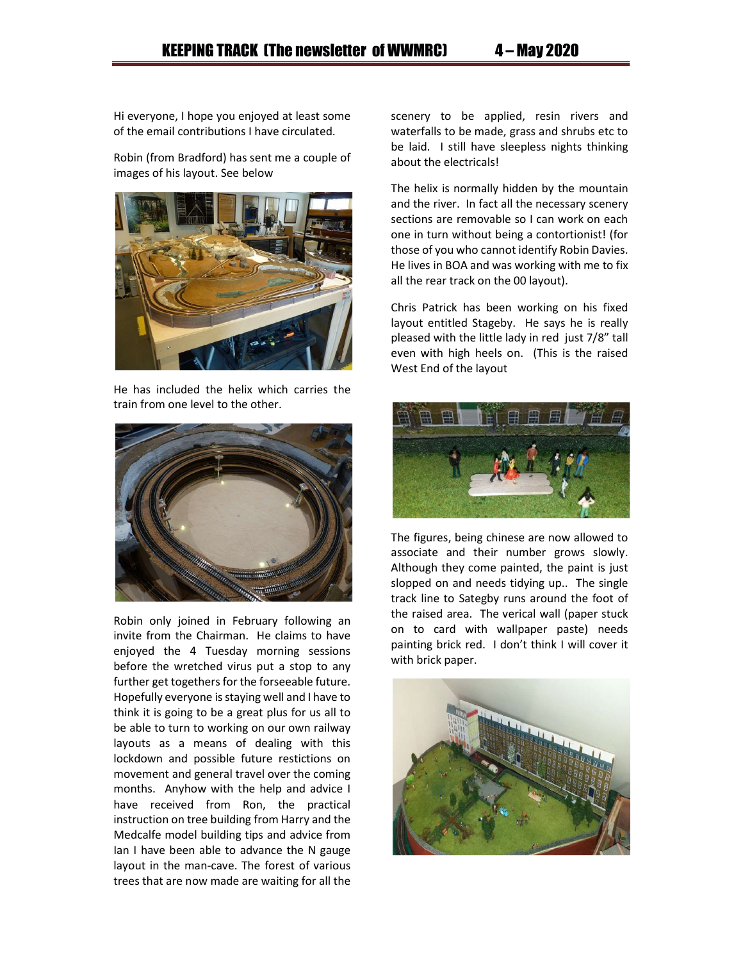Hi everyone, I hope you enjoyed at least some of the email contributions I have circulated.

Robin (from Bradford) has sent me a couple of images of his layout. See below



He has included the helix which carries the train from one level to the other.



Robin only joined in February following an invite from the Chairman. He claims to have enjoyed the 4 Tuesday morning sessions before the wretched virus put a stop to any further get togethers for the forseeable future. Hopefully everyone is staying well and I have to think it is going to be a great plus for us all to be able to turn to working on our own railway layouts as a means of dealing with this lockdown and possible future restictions on movement and general travel over the coming months. Anyhow with the help and advice I have received from Ron, the practical instruction on tree building from Harry and the Medcalfe model building tips and advice from Ian I have been able to advance the N gauge layout in the man-cave. The forest of various trees that are now made are waiting for all the scenery to be applied, resin rivers and waterfalls to be made, grass and shrubs etc to be laid. I still have sleepless nights thinking about the electricals!

The helix is normally hidden by the mountain and the river. In fact all the necessary scenery sections are removable so I can work on each one in turn without being a contortionist! (for those of you who cannot identify Robin Davies. He lives in BOA and was working with me to fix all the rear track on the 00 layout).

Chris Patrick has been working on his fixed layout entitled Stageby. He says he is really pleased with the little lady in red just 7/8" tall even with high heels on. (This is the raised West End of the layout



The figures, being chinese are now allowed to associate and their number grows slowly. Although they come painted, the paint is just slopped on and needs tidying up.. The single track line to Sategby runs around the foot of the raised area. The verical wall (paper stuck on to card with wallpaper paste) needs painting brick red. I don't think I will cover it with brick paper.